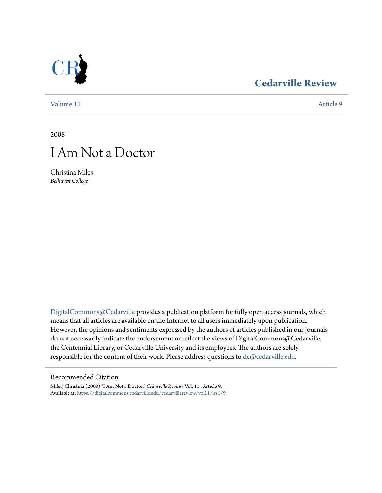## **[Cedarville Review](https://digitalcommons.cedarville.edu/cedarvillereview?utm_source=digitalcommons.cedarville.edu%2Fcedarvillereview%2Fvol11%2Fiss1%2F9&utm_medium=PDF&utm_campaign=PDFCoverPages)**

[Volume 11](https://digitalcommons.cedarville.edu/cedarvillereview/vol11?utm_source=digitalcommons.cedarville.edu%2Fcedarvillereview%2Fvol11%2Fiss1%2F9&utm_medium=PDF&utm_campaign=PDFCoverPages) [Article 9](https://digitalcommons.cedarville.edu/cedarvillereview/vol11/iss1/9?utm_source=digitalcommons.cedarville.edu%2Fcedarvillereview%2Fvol11%2Fiss1%2F9&utm_medium=PDF&utm_campaign=PDFCoverPages)

2008

# I Am Not a Doctor

Christina Miles *Belhaven College*

[DigitalCommons@Cedarville](http://digitalcommons.cedarville.edu) provides a publication platform for fully open access journals, which means that all articles are available on the Internet to all users immediately upon publication. However, the opinions and sentiments expressed by the authors of articles published in our journals do not necessarily indicate the endorsement or reflect the views of DigitalCommons@Cedarville, the Centennial Library, or Cedarville University and its employees. The authors are solely responsible for the content of their work. Please address questions to [dc@cedarville.edu](mailto:dc@cedarville.edu).

## Recommended Citation

Miles, Christina (2008) "I Am Not a Doctor," *Cedarville Review*: Vol. 11 , Article 9. Available at: [https://digitalcommons.cedarville.edu/cedarvillereview/vol11/iss1/9](https://digitalcommons.cedarville.edu/cedarvillereview/vol11/iss1/9?utm_source=digitalcommons.cedarville.edu%2Fcedarvillereview%2Fvol11%2Fiss1%2F9&utm_medium=PDF&utm_campaign=PDFCoverPages)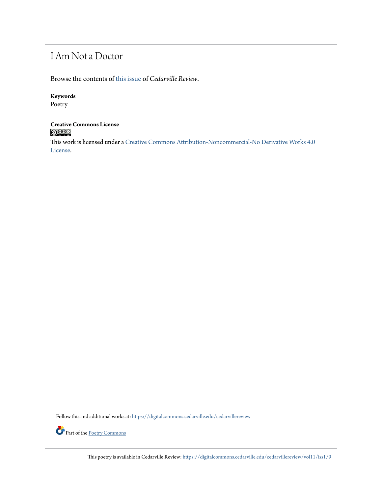## I Am Not a Doctor

Browse the contents of [this issue](https://digitalcommons.cedarville.edu/cedarvillereview/vol11/iss1) of *Cedarville Review*.

## **Keywords**

Poetry

# **Creative Commons License**

This work is licensed under a [Creative Commons Attribution-Noncommercial-No Derivative Works 4.0](http://creativecommons.org/licenses/by-nc-nd/4.0/) [License.](http://creativecommons.org/licenses/by-nc-nd/4.0/)

Follow this and additional works at: [https://digitalcommons.cedarville.edu/cedarvillereview](https://digitalcommons.cedarville.edu/cedarvillereview?utm_source=digitalcommons.cedarville.edu%2Fcedarvillereview%2Fvol11%2Fiss1%2F9&utm_medium=PDF&utm_campaign=PDFCoverPages)



This poetry is available in Cedarville Review: [https://digitalcommons.cedarville.edu/cedarvillereview/vol11/iss1/9](https://digitalcommons.cedarville.edu/cedarvillereview/vol11/iss1/9?utm_source=digitalcommons.cedarville.edu%2Fcedarvillereview%2Fvol11%2Fiss1%2F9&utm_medium=PDF&utm_campaign=PDFCoverPages)